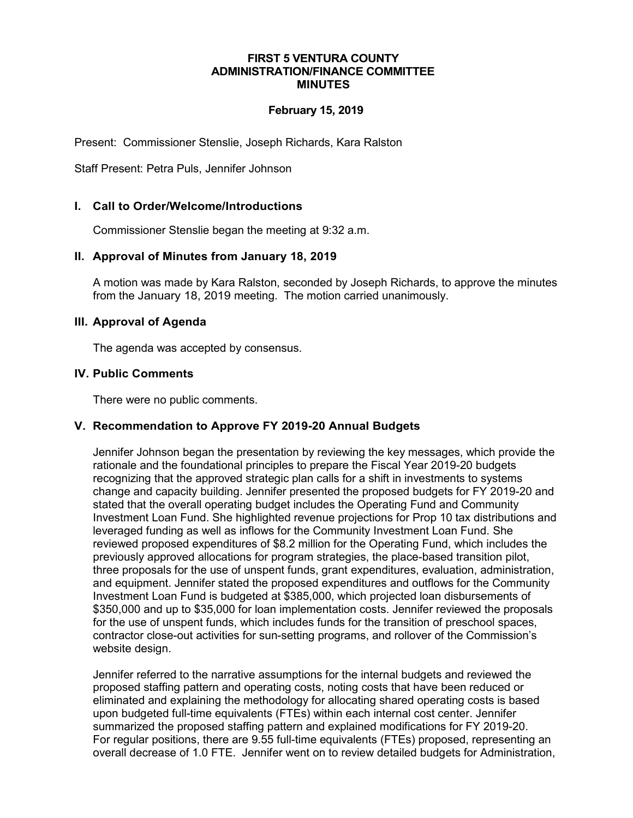#### **FIRST 5 VENTURA COUNTY ADMINISTRATION/FINANCE COMMITTEE MINUTES**

### **February 15, 2019**

Present: Commissioner Stenslie, Joseph Richards, Kara Ralston

Staff Present: Petra Puls, Jennifer Johnson

### **I. Call to Order/Welcome/Introductions**

Commissioner Stenslie began the meeting at 9:32 a.m.

#### **II. Approval of Minutes from January 18, 2019**

A motion was made by Kara Ralston, seconded by Joseph Richards, to approve the minutes from the January 18, 2019 meeting. The motion carried unanimously.

#### **III. Approval of Agenda**

The agenda was accepted by consensus.

#### **IV. Public Comments**

There were no public comments.

# **V. Recommendation to Approve FY 2019-20 Annual Budgets**

Jennifer Johnson began the presentation by reviewing the key messages, which provide the rationale and the foundational principles to prepare the Fiscal Year 2019-20 budgets recognizing that the approved strategic plan calls for a shift in investments to systems change and capacity building. Jennifer presented the proposed budgets for FY 2019-20 and stated that the overall operating budget includes the Operating Fund and Community Investment Loan Fund. She highlighted revenue projections for Prop 10 tax distributions and leveraged funding as well as inflows for the Community Investment Loan Fund. She reviewed proposed expenditures of \$8.2 million for the Operating Fund, which includes the previously approved allocations for program strategies, the place-based transition pilot, three proposals for the use of unspent funds, grant expenditures, evaluation, administration, and equipment. Jennifer stated the proposed expenditures and outflows for the Community Investment Loan Fund is budgeted at \$385,000, which projected loan disbursements of \$350,000 and up to \$35,000 for loan implementation costs. Jennifer reviewed the proposals for the use of unspent funds, which includes funds for the transition of preschool spaces, contractor close-out activities for sun-setting programs, and rollover of the Commission's website design.

Jennifer referred to the narrative assumptions for the internal budgets and reviewed the proposed staffing pattern and operating costs, noting costs that have been reduced or eliminated and explaining the methodology for allocating shared operating costs is based upon budgeted full-time equivalents (FTEs) within each internal cost center. Jennifer summarized the proposed staffing pattern and explained modifications for FY 2019-20. For regular positions, there are 9.55 full-time equivalents (FTEs) proposed, representing an overall decrease of 1.0 FTE. Jennifer went on to review detailed budgets for Administration,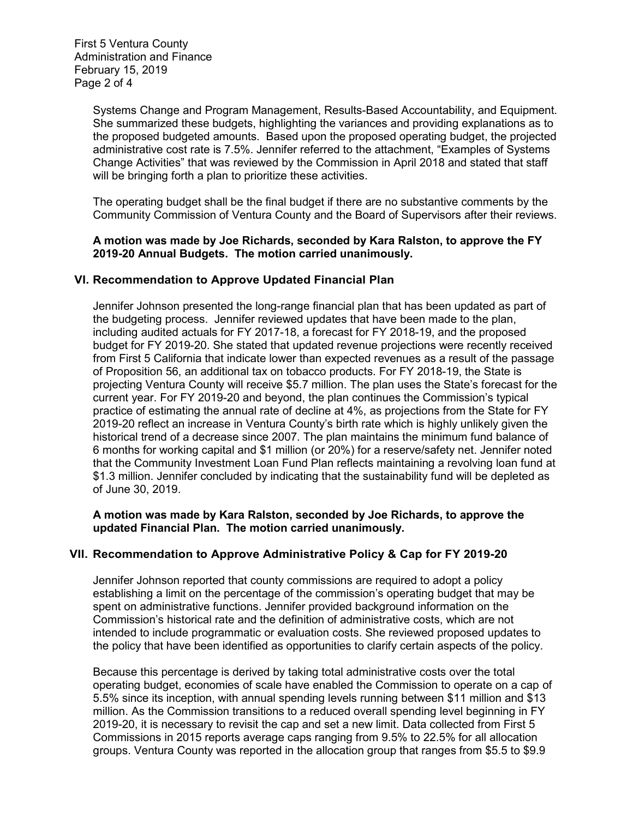First 5 Ventura County Administration and Finance February 15, 2019 Page 2 of 4

> Systems Change and Program Management, Results-Based Accountability, and Equipment. She summarized these budgets, highlighting the variances and providing explanations as to the proposed budgeted amounts. Based upon the proposed operating budget, the projected administrative cost rate is 7.5%. Jennifer referred to the attachment, "Examples of Systems Change Activities" that was reviewed by the Commission in April 2018 and stated that staff will be bringing forth a plan to prioritize these activities.

> The operating budget shall be the final budget if there are no substantive comments by the Community Commission of Ventura County and the Board of Supervisors after their reviews.

**A motion was made by Joe Richards, seconded by Kara Ralston, to approve the FY 2019-20 Annual Budgets. The motion carried unanimously.**

### **VI. Recommendation to Approve Updated Financial Plan**

Jennifer Johnson presented the long-range financial plan that has been updated as part of the budgeting process. Jennifer reviewed updates that have been made to the plan, including audited actuals for FY 2017-18, a forecast for FY 2018-19, and the proposed budget for FY 2019-20. She stated that updated revenue projections were recently received from First 5 California that indicate lower than expected revenues as a result of the passage of Proposition 56, an additional tax on tobacco products. For FY 2018-19, the State is projecting Ventura County will receive \$5.7 million. The plan uses the State's forecast for the current year. For FY 2019-20 and beyond, the plan continues the Commission's typical practice of estimating the annual rate of decline at 4%, as projections from the State for FY 2019-20 reflect an increase in Ventura County's birth rate which is highly unlikely given the historical trend of a decrease since 2007. The plan maintains the minimum fund balance of 6 months for working capital and \$1 million (or 20%) for a reserve/safety net. Jennifer noted that the Community Investment Loan Fund Plan reflects maintaining a revolving loan fund at \$1.3 million. Jennifer concluded by indicating that the sustainability fund will be depleted as of June 30, 2019.

### **A motion was made by Kara Ralston, seconded by Joe Richards, to approve the updated Financial Plan. The motion carried unanimously.**

# **VII. Recommendation to Approve Administrative Policy & Cap for FY 2019-20**

Jennifer Johnson reported that county commissions are required to adopt a policy establishing a limit on the percentage of the commission's operating budget that may be spent on administrative functions. Jennifer provided background information on the Commission's historical rate and the definition of administrative costs, which are not intended to include programmatic or evaluation costs. She reviewed proposed updates to the policy that have been identified as opportunities to clarify certain aspects of the policy.

Because this percentage is derived by taking total administrative costs over the total operating budget, economies of scale have enabled the Commission to operate on a cap of 5.5% since its inception, with annual spending levels running between \$11 million and \$13 million. As the Commission transitions to a reduced overall spending level beginning in FY 2019-20, it is necessary to revisit the cap and set a new limit. Data collected from First 5 Commissions in 2015 reports average caps ranging from 9.5% to 22.5% for all allocation groups. Ventura County was reported in the allocation group that ranges from \$5.5 to \$9.9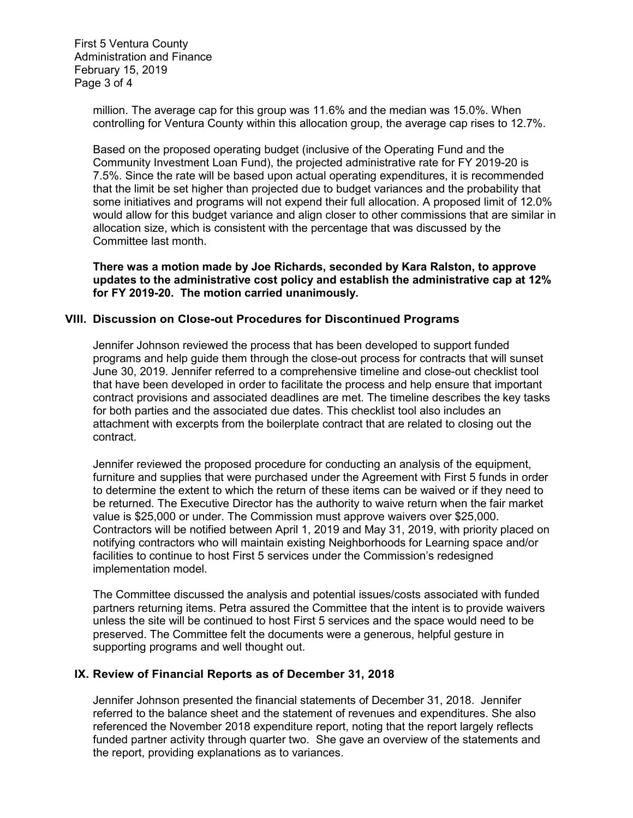First 5 Ventura County Administration and Finance February 15, 2019 Page 3 of 4

> million. The average cap for this group was 11.6% and the median was 15.0%. When controlling for Ventura County within this allocation group, the average cap rises to 12.7%.

Based on the proposed operating budget (inclusive of the Operating Fund and the Community Investment Loan Fund), the projected administrative rate for FY 2019-20 is 7.5%. Since the rate will be based upon actual operating expenditures, it is recommended that the limit be set higher than projected due to budget variances and the probability that some initiatives and programs will not expend their full allocation. A proposed limit of 12.0% would allow for this budget variance and align closer to other commissions that are similar in allocation size, which is consistent with the percentage that was discussed by the Committee last month.

**There was a motion made by Joe Richards, seconded by Kara Ralston, to approve updates to the administrative cost policy and establish the administrative cap at 12% for FY 2019-20. The motion carried unanimously.**

### **VIII. Discussion on Close-out Procedures for Discontinued Programs**

Jennifer Johnson reviewed the process that has been developed to support funded programs and help guide them through the close-out process for contracts that will sunset June 30, 2019. Jennifer referred to a comprehensive timeline and close-out checklist tool that have been developed in order to facilitate the process and help ensure that important contract provisions and associated deadlines are met. The timeline describes the key tasks for both parties and the associated due dates. This checklist tool also includes an attachment with excerpts from the boilerplate contract that are related to closing out the contract.

Jennifer reviewed the proposed procedure for conducting an analysis of the equipment, furniture and supplies that were purchased under the Agreement with First 5 funds in order to determine the extent to which the return of these items can be waived or if they need to be returned. The Executive Director has the authority to waive return when the fair market value is \$25,000 or under. The Commission must approve waivers over \$25,000. Contractors will be notified between April 1, 2019 and May 31, 2019, with priority placed on notifying contractors who will maintain existing Neighborhoods for Learning space and/or facilities to continue to host First 5 services under the Commission's redesigned implementation model.

The Committee discussed the analysis and potential issues/costs associated with funded partners returning items. Petra assured the Committee that the intent is to provide waivers unless the site will be continued to host First 5 services and the space would need to be preserved. The Committee felt the documents were a generous, helpful gesture in supporting programs and well thought out.

#### **IX. Review of Financial Reports as of December 31, 2018**

Jennifer Johnson presented the financial statements of December 31, 2018. Jennifer referred to the balance sheet and the statement of revenues and expenditures. She also referenced the November 2018 expenditure report, noting that the report largely reflects funded partner activity through quarter two. She gave an overview of the statements and the report, providing explanations as to variances.